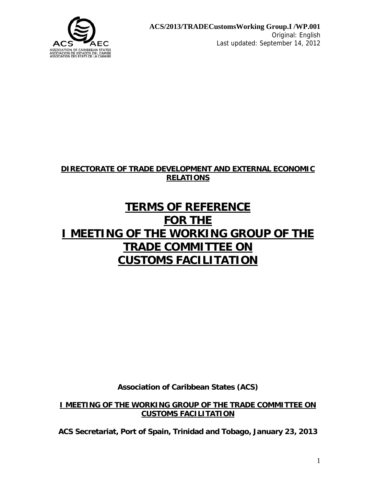

## **DIRECTORATE OF TRADE DEVELOPMENT AND EXTERNAL ECONOMIC RELATIONS**

# **TERMS OF REFERENCE FOR THE I MEETING OF THE WORKING GROUP OF THE TRADE COMMITTEE ON CUSTOMS FACILITATION**

**Association of Caribbean States (ACS)** 

**I MEETING OF THE WORKING GROUP OF THE TRADE COMMITTEE ON CUSTOMS FACILITATION**

**ACS Secretariat, Port of Spain, Trinidad and Tobago, January 23, 2013**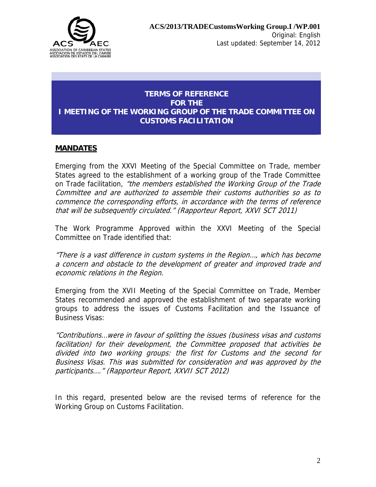

### **TERMS OF REFERENCE FOR THE I MEETING OF THE WORKING GROUP OF THE TRADE COMMITTEE ON CUSTOMS FACILITATION**

#### **MANDATES**

Emerging from the XXVI Meeting of the Special Committee on Trade, member States agreed to the establishment of a working group of the Trade Committee on Trade facilitation, "the members established the Working Group of the Trade Committee and are authorized to assemble their customs authorities so as to commence the corresponding efforts, in accordance with the terms of reference that will be subsequently circulated." (Rapporteur Report, XXVI SCT 2011)

The Work Programme Approved within the XXVI Meeting of the Special Committee on Trade identified that:

"There is a vast difference in custom systems in the Region…, which has become a concern and obstacle to the development of greater and improved trade and economic relations in the Region.

Emerging from the XVII Meeting of the Special Committee on Trade, Member States recommended and approved the establishment of two separate working groups to address the issues of Customs Facilitation and the Issuance of Business Visas:

"Contributions…were in favour of splitting the issues (business visas and customs facilitation) for their development, the Committee proposed that activities be divided into two working groups: the first for Customs and the second for Business Visas. This was submitted for consideration and was approved by the participants…." (Rapporteur Report, XXVII SCT 2012)

In this regard, presented below are the revised terms of reference for the Working Group on Customs Facilitation.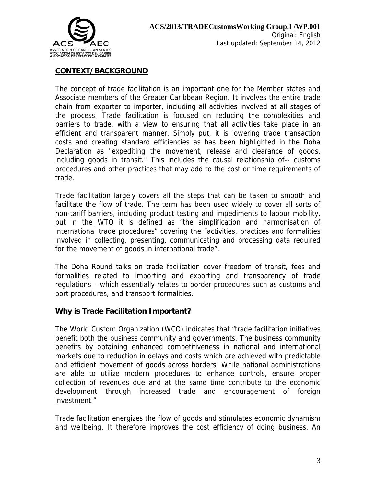

## **CONTEXT/BACKGROUND**

The concept of trade facilitation is an important one for the Member states and Associate members of the Greater Caribbean Region. It involves the entire trade chain from exporter to importer, including all activities involved at all stages of the process. Trade facilitation is focused on reducing the complexities and barriers to trade, with a view to ensuring that all activities take place in an efficient and transparent manner. Simply put, it is lowering trade transaction costs and creating standard efficiencies as has been highlighted in the Doha Declaration as "expediting the movement, release and clearance of goods, including goods in transit." This includes the causal relationship of-- customs procedures and other practices that may add to the cost or time requirements of trade.

Trade facilitation largely covers all the steps that can be taken to smooth and facilitate the flow of trade. The term has been used widely to cover all sorts of non-tariff barriers, including product testing and impediments to labour mobility, but in the WTO it is defined as "the simplification and harmonisation of international trade procedures" covering the "activities, practices and formalities involved in collecting, presenting, communicating and processing data required for the movement of goods in international trade".

The Doha Round talks on trade facilitation cover freedom of transit, fees and formalities related to importing and exporting and transparency of trade regulations – which essentially relates to border procedures such as customs and port procedures, and transport formalities.

#### **Why is Trade Facilitation Important?**

The World Custom Organization (WCO) indicates that "trade facilitation initiatives benefit both the business community and governments. The business community benefits by obtaining enhanced competitiveness in national and international markets due to reduction in delays and costs which are achieved with predictable and efficient movement of goods across borders. While national administrations are able to utilize modern procedures to enhance controls, ensure proper collection of revenues due and at the same time contribute to the economic development through increased trade and encouragement of foreign investment."

Trade facilitation energizes the flow of goods and stimulates economic dynamism and wellbeing. It therefore improves the cost efficiency of doing business. An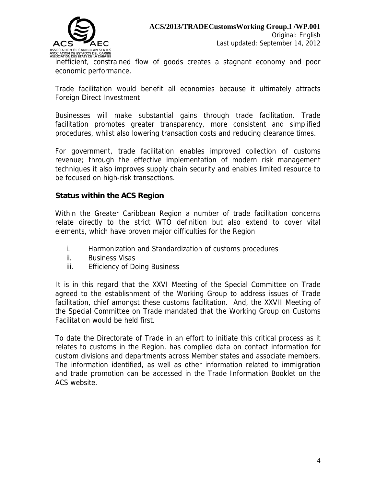

inefficient, constrained flow of goods creates a stagnant economy and poor economic performance.

Trade facilitation would benefit all economies because it ultimately attracts Foreign Direct Investment

Businesses will make substantial gains through trade facilitation. Trade facilitation promotes greater transparency, more consistent and simplified procedures, whilst also lowering transaction costs and reducing clearance times.

For government, trade facilitation enables improved collection of customs revenue; through the effective implementation of modern risk management techniques it also improves supply chain security and enables limited resource to be focused on high-risk transactions.

#### **Status within the ACS Region**

Within the Greater Caribbean Region a number of trade facilitation concerns relate directly to the strict WTO definition but also extend to cover vital elements, which have proven major difficulties for the Region

- i. Harmonization and Standardization of customs procedures
- ii. Business Visas
- iii. Efficiency of Doing Business

It is in this regard that the XXVI Meeting of the Special Committee on Trade agreed to the establishment of the Working Group to address issues of Trade facilitation, chief amongst these customs facilitation. And, the XXVII Meeting of the Special Committee on Trade mandated that the Working Group on Customs Facilitation would be held first.

To date the Directorate of Trade in an effort to initiate this critical process as it relates to customs in the Region, has complied data on contact information for custom divisions and departments across Member states and associate members. The information identified, as well as other information related to immigration and trade promotion can be accessed in the Trade Information Booklet on the ACS website.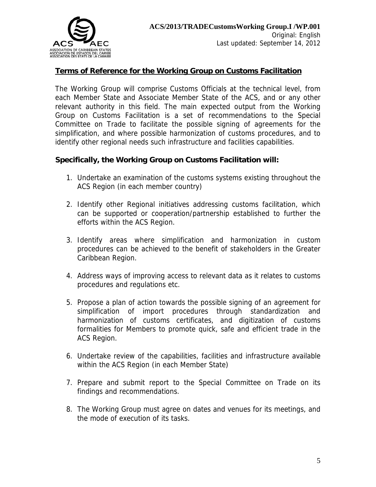

#### **Terms of Reference for the Working Group on Customs Facilitation**

The Working Group will comprise Customs Officials at the technical level, from each Member State and Associate Member State of the ACS, and or any other relevant authority in this field. The main expected output from the Working Group on Customs Facilitation is a set of recommendations to the Special Committee on Trade to facilitate the possible signing of agreements for the simplification, and where possible harmonization of customs procedures, and to identify other regional needs such infrastructure and facilities capabilities.

#### **Specifically, the Working Group on Customs Facilitation will:**

- 1. Undertake an examination of the customs systems existing throughout the ACS Region (in each member country)
- 2. Identify other Regional initiatives addressing customs facilitation, which can be supported or cooperation/partnership established to further the efforts within the ACS Region.
- 3. Identify areas where simplification and harmonization in custom procedures can be achieved to the benefit of stakeholders in the Greater Caribbean Region.
- 4. Address ways of improving access to relevant data as it relates to customs procedures and regulations etc.
- 5. Propose a plan of action towards the possible signing of an agreement for simplification of import procedures through standardization and harmonization of customs certificates, and digitization of customs formalities for Members to promote quick, safe and efficient trade in the ACS Region.
- 6. Undertake review of the capabilities, facilities and infrastructure available within the ACS Region (in each Member State)
- 7. Prepare and submit report to the Special Committee on Trade on its findings and recommendations.
- 8. The Working Group must agree on dates and venues for its meetings, and the mode of execution of its tasks.